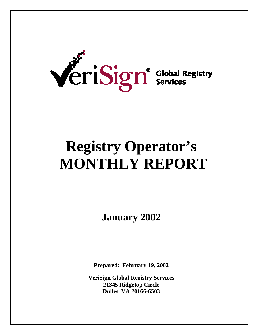

# **Registry Operator's MONTHLY REPORT**

**January 2002** 

**Prepared: February 19, 2002** 

**VeriSign Global Registry Services 21345 Ridgetop Circle Dulles, VA 20166-6503**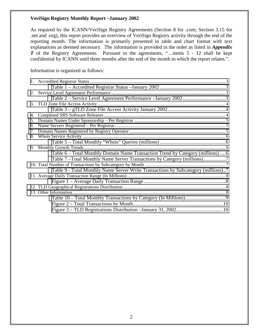As required by the ICANN/VeriSign Registry Agreements (Section 8 for .com; Section 3.15 for .net and .org), this report provides an overview of VeriSign Registry activity through the end of the reporting month. The information is primarily presented in table and chart format with text explanations as deemed necessary. The information is provided in the order as listed in *Appendix T* of the Registry Agreements. Pursuant to the agreements, "...items 5 - 12 shall be kept confidential by ICANN until three months after the end of the month to which the report relates.".

Information is organized as follows:

| 2. |                                                                                   |  |
|----|-----------------------------------------------------------------------------------|--|
|    |                                                                                   |  |
|    |                                                                                   |  |
|    |                                                                                   |  |
| 4. |                                                                                   |  |
| 5. |                                                                                   |  |
| 6. |                                                                                   |  |
| 7. |                                                                                   |  |
| 8. |                                                                                   |  |
|    |                                                                                   |  |
|    |                                                                                   |  |
|    | Table 6 – Total Monthly Domain Name Transaction Trend by Category (millions)6     |  |
|    | Table 7-Total Monthly Name Server Transactions by Category (millions)7            |  |
|    |                                                                                   |  |
|    | Table 9 - Total Monthly Name Server Write Transactions by Subcategory (millions)7 |  |
|    |                                                                                   |  |
|    |                                                                                   |  |
|    |                                                                                   |  |
|    |                                                                                   |  |
|    |                                                                                   |  |
|    |                                                                                   |  |
|    |                                                                                   |  |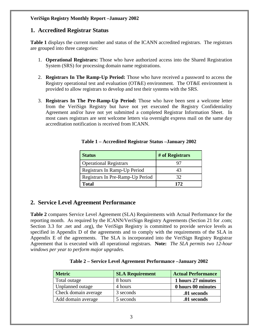## <span id="page-2-0"></span>**1. Accredited Registrar Status**

**Table 1** displays the current number and status of the ICANN accredited registrars. The registrars are grouped into three categories:

- 1. **Operational Registrars:** Those who have authorized access into the Shared Registration System (SRS) for processing domain name registrations.
- 2. **Registrars In The Ramp-Up Period:** Those who have received a password to access the Registry operational test and evaluation (OT&E) environment. The OT&E environment is provided to allow registrars to develop and test their systems with the SRS.
- 3. **Registrars In The Pre-Ramp-Up Period:** Those who have been sent a welcome letter from the VeriSign Registry but have not yet executed the Registry Confidentiality Agreement and/or have not yet submitted a completed Registrar Information Sheet. In most cases registrars are sent welcome letters via overnight express mail on the same day accreditation notification is received from ICANN.

| <b>Status</b>                    | # of Registrars |
|----------------------------------|-----------------|
| <b>Operational Registrars</b>    |                 |
| Registrars In Ramp-Up Period     | 43              |
| Registrars In Pre-Ramp-Up Period | 32              |
| <b>Total</b>                     | 172             |

#### **Table 1 – Accredited Registrar Status –January 2002**

## **2. Service Level Agreement Performance**

**Table 2** compares Service Level Agreement (SLA) Requirements with Actual Performance for the reporting month. As required by the ICANN/VeriSign Registry Agreements (Section 21 for .com; Section 3.3 for .net and .org), the VeriSign Registry is committed to provide service levels as specified in Appendix D of the agreements and to comply with the requirements of the SLA in Appendix E of the agreements. The SLA is incorporated into the VeriSign Registry Registrar Agreement that is executed with all operational registrars. **Note:** *The SLA permits two 12-hour windows per year to perform major upgrades.* 

|  |  | Table 2 – Service Level Agreement Performance – January 2002 |  |
|--|--|--------------------------------------------------------------|--|
|  |  |                                                              |  |

| <b>Metric</b>        | <b>SLA Requirement</b> | <b>Actual Performance</b> |
|----------------------|------------------------|---------------------------|
| Total outage         | 8 hours                | 1 hours 27 minutes        |
| Unplanned outage     | 4 hours                | 0 hours 00 minutes        |
| Check domain average | 3 seconds              | .01 seconds               |
| Add domain average   | 5 seconds              | .01 seconds               |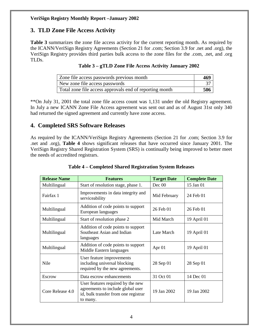# <span id="page-3-0"></span>**3. TLD Zone File Access Activity**

**Table 3** summarizes the zone file access activity for the current reporting month. As required by the ICANN/VeriSign Registry Agreements (Section 21 for .com; Section 3.9 for .net and .org), the VeriSign Registry provides third parties bulk access to the zone files for the .com, .net, and .org TLDs.

|  |  | Table 3 – gTLD Zone File Access Activity January 2002 |  |  |  |  |
|--|--|-------------------------------------------------------|--|--|--|--|
|--|--|-------------------------------------------------------|--|--|--|--|

| Zone file access passwords previous month               | 469 |
|---------------------------------------------------------|-----|
| New zone file access passwords                          |     |
| Total zone file access approvals end of reporting month | 506 |

\*\*On July 31, 2001 the total zone file access count was 1,131 under the old Registry agreement. In July a new ICANN Zone File Access agreement was sent out and as of August 31st only 340 had returned the signed agreement and currently have zone access.

# **4. Completed SRS Software Releases**

As required by the ICANN/VeriSign Registry Agreements (Section 21 for .com; Section 3.9 for .net and .org), **Table 4** shows significant releases that have occurred since January 2001. The VeriSign Registry Shared Registration System (SRS) is continually being improved to better meet the needs of accredited registrars.

| <b>Release Name</b>                                               | <b>Features</b>                                                                                                            | <b>Target Date</b> | <b>Complete Date</b> |
|-------------------------------------------------------------------|----------------------------------------------------------------------------------------------------------------------------|--------------------|----------------------|
| Multilingual                                                      | Start of resolution stage, phase 1.                                                                                        | Dec 00             | 15 Jan 01            |
| Improvements in data integrity and<br>Fairfax 1<br>serviceability |                                                                                                                            | Mid February       | 24 Feb 01            |
| Multilingual                                                      | Addition of code points to support<br>European languages                                                                   |                    | 26 Feb 01            |
| Multilingual                                                      | Start of resolution phase 2                                                                                                | Mid March          | 19 April 01          |
| Multilingual                                                      | Addition of code points to support<br>Southeast Asian and Indian<br>languages                                              | Late March         | 19 April 01          |
| Multilingual                                                      | Addition of code points to support<br>Middle Eastern languages                                                             | Apr 01             | 19 April 01          |
| Nile                                                              | User feature improvements<br>including universal blocking<br>required by the new agreements.                               | 28 Sep 01          | 28 Sep 01            |
| Escrow                                                            | Data escrow enhancements                                                                                                   | 31 Oct 01          | 14 Dec 01            |
| Core Release 4.0                                                  | User features required by the new<br>agreements to include global user<br>id, bulk transfer from one registrar<br>to many. | 19 Jan 2002        | 19 Jan 2002          |

## **Table 4 – Completed Shared Registration System Releases**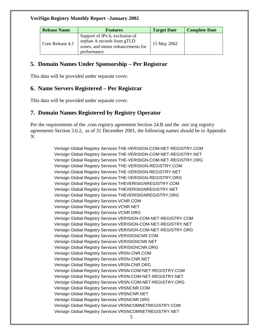<span id="page-4-0"></span>

| <b>Release Name</b> | <b>Features</b>                                                                                                  | <b>Target Date</b> | <b>Complete Date</b> |
|---------------------|------------------------------------------------------------------------------------------------------------------|--------------------|----------------------|
| Core Release 4.1    | Support of IPv.6, exclusion of<br>orphan A records from gTLD<br>zones, and minor enhancements for<br>performance | 15 May 2002        |                      |

## **5. Domain Names Under Sponsorship – Per Registrar**

This data will be provided under separate cover.

# **6. Name Servers Registered – Per Registrar**

This data will be provided under separate cover.

# **7. Domain Names Registered by Registry Operator**

Per the requirements of the .com registry agreement Section 24.B and the .net/.org registry agreements Section 3.6.2, as of 31 December 2001, the following names should be in Appendix X:

> Verisign Global Registry Services THE-VERISIGN-COM-NET-REGISTRY.COM Verisign Global Registry Services THE-VERISIGN-COM-NET-REGISTRY.NET Verisign Global Registry Services THE-VERISIGN-COM-NET-REGISTRY.ORG Verisign Global Registry Services THE-VERISIGN-REGISTRY.COM Verisign Global Registry Services THE-VERISIGN-REGISTRY.NET Verisign Global Registry Services THE-VERISIGN-REGISTRY.ORG Verisign Global Registry Services THEVERISIGNREGISTRY.COM Verisign Global Registry Services THEVERISIGNREGISTRY.NET Verisign Global Registry Services THEVERISIGNREGISTRY.ORG Verisign Global Registry Services VCNR.COM Verisign Global Registry Services VCNR.NET Verisign Global Registry Services VCNR.ORG Verisign Global Registry Services VERISIGN-COM-NET-REGISTRY.COM Verisign Global Registry Services VERISIGN-COM-NET-REGISTRY.NET Verisign Global Registry Services VERISIGN-COM-NET-REGISTRY.ORG Verisign Global Registry Services VERISIGNCNR.COM Verisign Global Registry Services VERISIGNCNR.NET Verisign Global Registry Services VERISIGNCNR.ORG Verisign Global Registry Services VRSN-CNR.COM Verisign Global Registry Services VRSN-CNR.NET Verisign Global Registry Services VRSN-CNR.ORG Verisign Global Registry Services VRSN-COM-NET-REGISTRY.COM Verisign Global Registry Services VRSN-COM-NET-REGISTRY.NET Verisign Global Registry Services VRSN-COM-NET-REGISTRY.ORG Verisign Global Registry Services VRSNCNR.COM Verisign Global Registry Services VRSNCNR.NET Verisign Global Registry Services VRSNCNR.ORG Verisign Global Registry Services VRSNCOMNETREGISTRY.COM Verisign Global Registry Services VRSNCOMNETREGISTRY.NET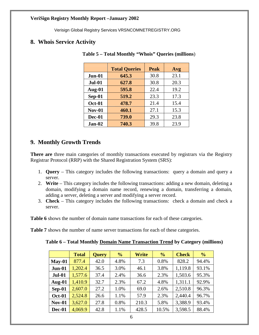Verisign Global Registry Services VRSNCOMNETREGISTRY.ORG

## <span id="page-5-0"></span>**8. Whois Service Activity**

|               | <b>Total Queries</b> | <b>Peak</b> | Avg  |
|---------------|----------------------|-------------|------|
| Jun-01        | 645.3                | 30.8        | 23.1 |
| <b>Jul-01</b> | 627.8                | 30.8        | 20.3 |
| Aug-01        | 595.8                | 22.4        | 19.2 |
| $Sep-01$      | 519.2                | 23.3        | 17.3 |
| <b>Oct-01</b> | 478.7                | 21.4        | 15.4 |
| <b>Nov-01</b> | 460.1                | 27.1        | 15.3 |
| Dec-01        | 739.0                | 29.3        | 23.8 |
| Jan-02        | 740.3                | 39.8        | 23.9 |

#### **Table 5 – Total Monthly "Whois" Queries (millions**)

# **9. Monthly Growth Trends**

**There are** three main categories of monthly transactions executed by registrars via the Registry Registrar Protocol (RRP) with the Shared Registration System (SRS):

- 1. **Query** This category includes the following transactions: query a domain and query a server.
- 2. **Write**  This category includes the following transactions: adding a new domain, deleting a domain, modifying a domain name record, renewing a domain, transferring a domain, adding a server, deleting a server and modifying a server record.
- 3. **Check** This category includes the following transactions: check a domain and check a server.

**Table 6** shows the number of domain name transactions for each of these categories.

**Table 7** shows the number of name server transactions for each of these categories.

| Table 6 – Total Monthly Domain Name Transaction Trend by Category (millions) |  |  |
|------------------------------------------------------------------------------|--|--|
|                                                                              |  |  |

|               | <b>Total</b> | <b>Query</b> | $\frac{6}{6}$ | Write | $\frac{6}{6}$ | <b>Check</b> | $\frac{6}{6}$ |
|---------------|--------------|--------------|---------------|-------|---------------|--------------|---------------|
| $May-01$      | 877.4        | 42.0         | 4.8%          | 7.3   | 0.8%          | 828.2        | 94.4%         |
| Jun-01        | 1,202.4      | 36.5         | 3.0%          | 46.1  | 3.8%          | 1,119.8      | 93.1%         |
| <b>Jul-01</b> | 1,577.6      | 37.4         | 2.4%          | 36.6  | 2.3%          | 1,503.6      | 95.3%         |
| Aug-01        | 1,410.9      | 32.7         | 2.3%          | 67.2  | 4.8%          | 1,311.1      | 92.9%         |
| $Sep-01$      | 2,607.0      | 27.2         | 1.0%          | 69.0  | 2.6%          | 2,510.8      | 96.3%         |
| <b>Oct-01</b> | 2,524.8      | 26.6         | 1.1%          | 57.9  | 2.3%          | 2,440.4      | 96.7%         |
| <b>Nov-01</b> | 3,627.0      | 27.8         | 0.8%          | 210.3 | 5.8%          | 3,388.9      | 93.4%         |
| Dec-01        | 4,069.9      | 42.8         | 1.1%          | 428.5 | 10.5%         | 3,598.5      | 88.4%         |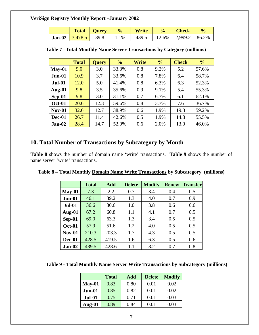<span id="page-6-0"></span>

|  | Total   Query   % | <b>Write</b>                                                              |  | $\frac{0}{0}$ |
|--|-------------------|---------------------------------------------------------------------------|--|---------------|
|  |                   | <b>Jan-02</b>   $3,478.5$   39.8   1.1%   439.5   12.6%   2,999.2   86.2% |  |               |

|               | <b>Total</b> | <b>Query</b> | $\frac{0}{0}$ | Write | $\frac{0}{0}$ | <b>Check</b> | $\frac{0}{0}$ |
|---------------|--------------|--------------|---------------|-------|---------------|--------------|---------------|
| $May-01$      | 9.0          | 3.0          | 33.3%         | 0.8   | 9.2%          | 5.2          | 57.6%         |
| $Jun-01$      | 10.9         | 3.7          | 33.6%         | 0.8   | 7.8%          | 6.4          | 58.7%         |
| <b>Jul-01</b> | 12.0         | 5.0          | 41.4%         | 0.8   | 6.3%          | 6.3          | 52.3%         |
| Aug- $01$     | 9.8          | 3.5          | 35.6%         | 0.9   | 9.1%          | 5.4          | 55.3%         |
| Sep-01        | 9.8          | 3.0          | 31.1%         | 0.7   | 6.7%          | 6.1          | 62.1%         |
| <b>Oct-01</b> | 20.6         | 12.3         | 59.6%         | 0.8   | 3.7%          | 7.6          | 36.7%         |
| <b>Nov-01</b> | 32.6         | 12.7         | 38.9%         | 0.6   | 1.9%          | 19.3         | 59.2%         |
| Dec-01        | 26.7         | 11.4         | 42.6%         | 0.5   | 1.9%          | 14.8         | 55.5%         |
| Jan-02        | 28.4         | 14.7         | 52.0%         | 0.6   | 2.0%          | 13.0         | 46.0%         |

| Table 7-Total Monthly Name Server Transactions by Category (millions) |  |  |
|-----------------------------------------------------------------------|--|--|
|                                                                       |  |  |

## **10. Total Number of Transactions by Subcategory by Month**

**Table 8** shows the number of domain name 'write' transactions. **Table 9** shows the number of name server 'write' transactions.

|               | <b>Total</b> | Add   | <b>Delete</b> | <b>Modify</b> | <b>Renew</b> | <b>Transfer</b> |
|---------------|--------------|-------|---------------|---------------|--------------|-----------------|
| $May-01$      | 7.3          | 2.2   | 0.7           | 3.4           | 0.4          | 0.5             |
| Jun-01        | 46.1         | 39.2  | 1.3           | 4.0           | 0.7          | 0.9             |
| <b>Jul-01</b> | 36.6         | 30.6  | 1.0           | 3.8           | 0.6          | 0.6             |
| Aug-01        | 67.2         | 60.8  | 1.1           | 4.1           | 0.7          | 0.5             |
| $Sep-01$      | 69.0         | 63.3  | 1.3           | 3.4           | 0.5          | 0.5             |
| <b>Oct-01</b> | 57.9         | 51.6  | 1.2           | 4.0           | 0.5          | 0.5             |
| <b>Nov-01</b> | 210.3        | 203.3 | 1.7           | 4.3           | 0.5          | 0.5             |
| Dec-01        | 428.5        | 419.5 | 1.6           | 6.3           | 0.5          | 0.6             |
| $Jan-02$      | 439.5        | 428.6 | 1.1           | 8.2           | 0.7          | 0.8             |

**Table 8 – Total Monthly Domain Name Write Transactions by Subcategory (millions)** 

**Table 9 - Total Monthly Name Server Write Transactions by Subcategory (millions)** 

|               | <b>Total</b> | Add  | <b>Delete</b> | <b>Modify</b> |
|---------------|--------------|------|---------------|---------------|
| $May-01$      | 0.83         | 0.80 | 0.01          | 0.02          |
| Jun-01        | 0.85         | 0.82 | 0.01          | 0.02          |
| <b>Jul-01</b> | 0.75         | 0.71 | 0.01          | 0.03          |
| Aug- $01$     | 0.89         | 0.84 | 0.01          | 0.03          |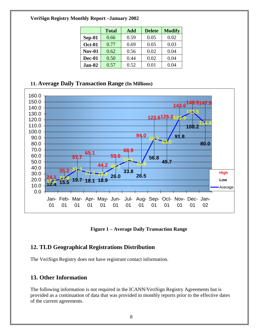<span id="page-7-0"></span>

|               | <b>Total</b> | Add  | <b>Delete</b> | <b>Modify</b> |
|---------------|--------------|------|---------------|---------------|
| $Sep-01$      | 0.66         | 0.59 | 0.05          | 0.02          |
| <b>Oct-01</b> | 0.77         | 0.69 | 0.05          | 0.03          |
| <b>Nov-01</b> | 0.62         | 0.56 | 0.02          | 0.04          |
| <b>Dec-01</b> | 0.50         | 0.44 | 0.02          | 0.04          |
| $Jan-02$      | 0.57         | 0.52 | 0.01          | 0.04          |

# **11. Average Daily Transaction Range (In Millions)**



**Figure 1 – Average Daily Transaction Range** 

# **12. TLD Geographical Registrations Distribution**

The VeriSign Registry does not have registrant contact information.

# **13. Other Information**

The following information is not required in the ICANN/VeriSign Registry Agreements but is provided as a continuation of data that was provided in monthly reports prior to the effective dates of the current agreements.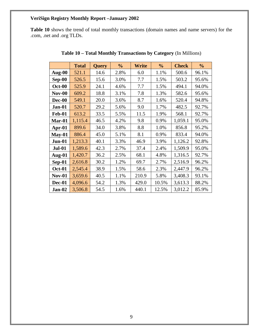<span id="page-8-0"></span>**Table 10** shows the trend of total monthly transactions (domain names and name servers) for the .com, .net and .org TLDs.

|               | <b>Total</b> | <b>Query</b> | $\frac{0}{0}$ | Write | $\frac{0}{0}$ | <b>Check</b> | $\frac{0}{0}$ |
|---------------|--------------|--------------|---------------|-------|---------------|--------------|---------------|
| Aug-00        | 521.1        | 14.6         | 2.8%          | 6.0   | 1.1%          | 500.6        | 96.1%         |
| Sep-00        | 526.5        | 15.6         | 3.0%          | 7.7   | 1.5%          | 503.2        | 95.6%         |
| <b>Oct-00</b> | 525.9        | 24.1         | 4.6%          | 7.7   | 1.5%          | 494.1        | 94.0%         |
| <b>Nov-00</b> | 609.2        | 18.8         | 3.1%          | 7.8   | 1.3%          | 582.6        | 95.6%         |
| Dec-00        | 549.1        | 20.0         | 3.6%          | 8.7   | 1.6%          | 520.4        | 94.8%         |
| Jan-01        | 520.7        | 29.2         | 5.6%          | 9.0   | 1.7%          | 482.5        | 92.7%         |
| <b>Feb-01</b> | 613.2        | 33.5         | 5.5%          | 11.5  | 1.9%          | 568.1        | 92.7%         |
| Mar-01        | 1,115.4      | 46.5         | 4.2%          | 9.8   | 0.9%          | 1,059.1      | 95.0%         |
| Apr-01        | 899.6        | 34.0         | 3.8%          | 8.8   | 1.0%          | 856.8        | 95.2%         |
| $May-01$      | 886.4        | 45.0         | 5.1%          | 8.1   | 0.9%          | 833.4        | 94.0%         |
| Jun-01        | 1,213.3      | 40.1         | 3.3%          | 46.9  | 3.9%          | 1,126.2      | 92.8%         |
| <b>Jul-01</b> | 1,589.6      | 42.3         | 2.7%          | 37.4  | 2.4%          | 1,509.9      | 95.0%         |
| Aug-01        | 1,420.7      | 36.2         | 2.5%          | 68.1  | 4.8%          | 1,316.5      | 92.7%         |
| Sep-01        | 2,616.8      | 30.2         | 1.2%          | 69.7  | 2.7%          | 2,516.9      | 96.2%         |
| <b>Oct-01</b> | 2,545.4      | 38.9         | 1.5%          | 58.6  | 2.3%          | 2,447.9      | 96.2%         |
| <b>Nov-01</b> | 3,659.6      | 40.5         | 1.1%          | 210.9 | 5.8%          | 3,408.3      | 93.1%         |
| <b>Dec-01</b> | 4,096.6      | 54.2         | 1.3%          | 429.0 | 10.5%         | 3,613.3      | 88.2%         |
| Jan-02        | 3,506.8      | 54.5         | 1.6%          | 440.1 | 12.5%         | 3,012.2      | 85.9%         |

**Table 10 – Total Monthly Transactions by Category** (In Millions)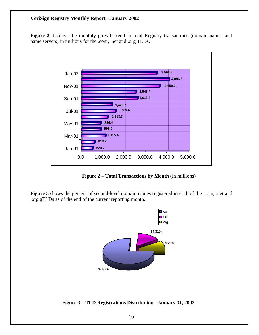<span id="page-9-0"></span>Figure 2 displays the monthly growth trend in total Registry transactions (domain names and name servers) in millions for the .com, .net and .org TLDs.



**Figure 2 – Total Transactions by Month** (In millions)

**Figure 3** shows the percent of second-level domain names registered in each of the .com, .net and .org gTLDs as of the end of the current reporting month.



 **Figure 3 – TLD Registrations Distribution –January 31, 2002**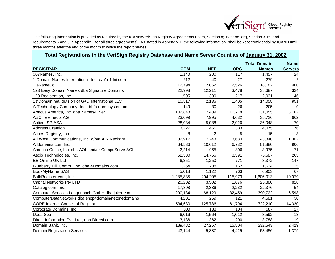

# **Total Registrations in the VeriSign Registry Database and Name Server Count as of January 31, 2002**

|                                                    |            |                |            | <b>Total Domain</b> | <b>Name</b>    |
|----------------------------------------------------|------------|----------------|------------|---------------------|----------------|
| <b>REGISTRAR</b>                                   | <b>COM</b> | <b>NET</b>     | <b>ORG</b> | <b>Names</b>        | <b>Servers</b> |
| 007Names, Inc.                                     | 1,140      | 200            | 117        | 1,457               | 24             |
| Domain Names International, Inc. d/b/a 1dni.com    | 212        | 40             | 27         | 279                 | $\overline{2}$ |
| eNameCo.                                           | 12,794     | 2,862          | 2,526      | 18,182              | 400            |
| 123 Easy Domain Names dba Signature Domains        | 22,998     | 12,211         | 3,478      | 38,687              | 324            |
| 123 Registration, Inc.                             | 1,505      | 309            | 217        | 2,031               | 46             |
| 1stDomain.net, division of G+D International LLC   | 10,517     | 2,136          | 1,405      | 14,058              | 951            |
| A Technology Company, Inc. d/b/a namesystem.com    | 149        | 30             | 26         | 205                 | 9              |
| Abacus America, Inc. dba Names4Ever                | 102,848    | 17,489         | 10,718     | 131,055             | 3,762          |
| ABC Telemedia AG                                   | 23,099     | 7,995          | 4,632      | 35,726              | 662            |
| <b>Active ISP ASA</b>                              | 28,034     | 5,088          | 2,926      | 36,048              | 70             |
| <b>Address Creation</b>                            | 3,227      | 465            | 383        | 4,075               | 176            |
| Alices Registry, Inc.                              | 8          | $\overline{2}$ |            | 15                  | $\overline{3}$ |
| All West Communications, Inc. d/b/a AW Registry    | 32,917     | 7,243          | 3,680      | 43,840              | 1,302          |
| Alldomains.com Inc.                                | 64,536     | 10,612         | 6,732      | 81,880              | 906            |
| America Online, Inc. dba AOL and/or CompuServe-AOL | 2,214      | 955            | 806        | 3,975               | 71             |
| Ascio Technologies, Inc.                           | 52,530     | 14,766         | 8,391      | 75,687              | 263            |
| <b>BB Online UK Ltd</b>                            | 6,351      | 1,250          | 771        | 8,372               | 147            |
| Blueberry Hill Comm., Inc. dba 4Domains.com        | 1,264      | 208            | 162        | 1,634               | 25             |
| BookMyName SAS                                     | 5,018      | 1,122          | 763        | 6,903               | 67             |
| BulkRegister.com, Inc.                             | 1,285,835  | 204,205        | 115,973    | 1,606,013           | 19,079         |
| Capital Networks Pty LTD                           | 20,202     | 3,502          | 1,676      | 25,380              | 828            |
| Catalog.com, Inc.                                  | 17,808     | 2,336          | 2,232      | 22,376              | 54             |
| Computer Services Langenbach GmbH dba joker.com    | 290,134    | 68,129         | 32,459     | 390,722             | 6,598          |
| ComputerDataNetworks dba shop4domain/netonedomains | 4,201      | 259            | 121        | 4,581               | 30             |
| <b>CORE Internet Council of Registrars</b>         | 534,630    | 125,786        | 61,794     | 722,210             | 14,320         |
| Corporate Domains, Inc.                            | 300        | 183            | 104        | 587                 | 17             |
| Dada Spa                                           | 6,016      | 1,564          | 1,012      | 8,592               | 13             |
| Direct Information Pvt. Ltd., dba Directl.com      | 3,136      | 362            | 290        | 3,788               | 119            |
| Domain Bank, Inc.                                  | 189,482    | 27,257         | 15,804     | 232,543             | 2,429          |
| <b>Domain Registration Services</b>                | 43,144     | 5,887          | 4,425      | 53,456              | 1,379          |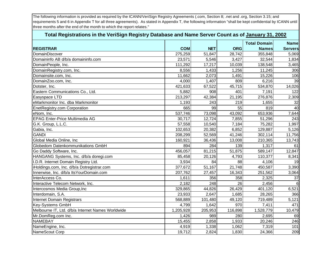| Total Registrations in the VeriSign Registry Database and Name Server Count as of January 31, 2002 |            |            |            |                     |                |  |
|----------------------------------------------------------------------------------------------------|------------|------------|------------|---------------------|----------------|--|
|                                                                                                    |            |            |            | <b>Total Domain</b> | <b>Name</b>    |  |
| <b>REGISTRAR</b>                                                                                   | <b>COM</b> | <b>NET</b> | <b>ORG</b> | <b>Names</b>        | <b>Servers</b> |  |
| DomainDiscover                                                                                     | 275,259    | 51,847     | 28,742     | 355,848             | 5,069          |  |
| Domaininfo AB d/b/a domaininfo.com                                                                 | 23,571     | 5,546      | 3,427      | 32,544              | 1,834          |  |
| DomainPeople, Inc.                                                                                 | 111,292    | 17,217     | 10,039     | 138,548             | 3,465          |  |
| DomainRegistry.com, Inc.                                                                           | 8,556      | 1,433      | 1,256      | 11,245              | 306            |  |
| Domainsite.com, Inc.                                                                               | 11,662     | 2,073      | 1,491      | 15,226              | 106            |  |
| DomainZoo.com, Inc.                                                                                | 4,000      | 1,407      | 809        | 6,216               | 39             |  |
| Dotster, Inc.                                                                                      | 421,633    | 67,522     | 45,715     | 534,870             | 14,026         |  |
| Eastern Communications Co., Ltd.                                                                   | 5,882      | 908        | 401        | 7,191               | 122            |  |
| Easyspace LTD                                                                                      | 213,297    | 42,384     | 21,195     | 276,876             | 2,309          |  |
| eMarkmonitor Inc. dba Markmonitor                                                                  | 1,193      | 243        | 219        | 1,655               | 32             |  |
| EnetRegistry.com Corporation                                                                       | 665        | 99         | 55         | 819                 | 40             |  |
| eNom, Inc.                                                                                         | 537,746    | 73,098     | 43,092     | 653,936             | 7,644          |  |
| <b>EPAG Enter-Price Multimedia AG</b>                                                              | 30,717     | 12,724     | 7,855      | 51,296              | 243            |  |
| G.K. Group, L.L.C.                                                                                 | 57,558     | 10,540     | 7,184      | 75,282              | 1,997          |  |
| Gabia, Inc.                                                                                        | 102,653    | 20,382     | 6,852      | 129,887             | 5,126          |  |
| <b>GANDI</b>                                                                                       | 208,299    | 52,569     | 41,246     | 302,114             | 11,756         |  |
| Global Media Online, Inc                                                                           | 160,921    | 36,436     | 13,008     | 210,365             | 13,743         |  |
| Globedom Datenkommunikations GmbH                                                                  | 894        | 284        | 139        | 1,317               | 61             |  |
| Go Daddy Software, Inc.                                                                            | 456,057    | 81,215     | 51,875     | 589,147             | 12,847         |  |
| HANGANG Systems, Inc. d/b/a doregi.com                                                             | 85,458     | 20,126     | 4,793      | 110,377             | 8,341          |  |
| I.D.R. Internet Domain Registry Ltd.                                                               | 3,934      | 84         | 88         | 4,106               | 19             |  |
| iHoldings.com, Inc. d/b/a Dotregistrar.com                                                         | 377,672    | 51,167     | 21,748     | 450,587             | 3,390          |  |
| Innerwise, Inc. d/b/a ItsYourDomain.com                                                            | 207,762    | 27,457     | 16,343     | 251,562             | 3,064          |  |
| InterAccess Co.                                                                                    | 1,611      | 356        | 358        | 2,325               | 37             |  |
| Interactive Telecom Network, Inc.                                                                  | 2,182      | 248        | 26         | 2,456               |                |  |
| Intercosmos Media Group, Inc                                                                       | 329,865    | 44,826     | 26,429     | 401,120             | 6,521          |  |
| Interdomain, S.A.                                                                                  | 23,933     | 2,647      | 1,685      | 28,265              | 366            |  |
| Internet Domain Registrars                                                                         | 568,889    | 101,480    | 49,120     | 719,489             | 5,121          |  |
| Key-Systems GmbH                                                                                   | 4,799      | 1,642      | 970        | 7,411               | 471            |  |
| Melbourne IT, Ltd. d/b/a Internet Names Worldwide                                                  | 1,205,928  | 205,953    | 116,898    | 1,528,779           | 10,479         |  |
| Mr.DomReg.com Inc.                                                                                 | 1,426      | 989        | 280        | 2,695               | 69             |  |
| <b>NAMEBAY</b>                                                                                     | 15,455     | 2,858      | 1,933      | 20,246              | 246            |  |
| NameEngine, Inc.                                                                                   | 4,919      | 1,338      | 1,062      | 7,319               | 101            |  |
| NameScout Corp                                                                                     | 19,712     | 2,824      | 1,830      | 24,366              | 209            |  |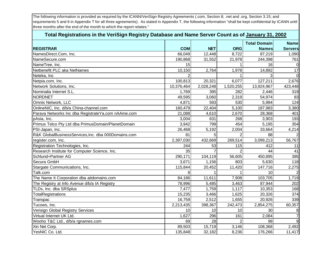| Total Registrations in the VeriSign Registry Database and Name Server Count as of January 31, 2002 |            |            |                |                     |                |  |
|----------------------------------------------------------------------------------------------------|------------|------------|----------------|---------------------|----------------|--|
|                                                                                                    |            |            |                | <b>Total Domain</b> | <b>Namel</b>   |  |
| <b>REGISTRAR</b>                                                                                   | <b>COM</b> | <b>NET</b> | <b>ORG</b>     | <b>Names</b>        | <b>Servers</b> |  |
| NamesDirect.Com, Inc.                                                                              | 66,049     | 12,448     | 8,722          | 87,219              | 1,090          |  |
| NameSecure.com                                                                                     | 190,868    | 31,552     | 21,978         | 244,398             | 761            |  |
| NameTree, Inc.                                                                                     | 15         |            |                | 16                  |                |  |
| Netbenefit PLC aka NetNames                                                                        | 10,150     | 2,764      | 1,978          | 14,892              | 17             |  |
| Neteka, Inc                                                                                        |            |            |                |                     |                |  |
| Netpia.com, Inc.                                                                                   | 100,813    | 20,321     | 6,077          | 127,211             | 2,676          |  |
| Network Solutions, Inc.                                                                            | 10,376,464 | 2,028,248  | 1,520,255      | 13,924,967          | 423,448        |  |
| Nominalia Internet S.L.                                                                            | 1,769      | 395        | 282            | 2,446               | 319            |  |
| <b>NORDNET</b>                                                                                     | 49,595     | 3,060      | 2,319          | 54,974              | 83             |  |
| Omnis Network, LLC                                                                                 | 4,871      | 593        | 530            | 5,994               | 124            |  |
| OnlineNIC, Inc. d/b/a China-channel.com                                                            | 160,479    | 22,404     | 5,100          | 187,983             | 3,380          |  |
| Parava Networks Inc dba RegistrateYa.com nAAme.com                                                 | 21,088     | 4,610      | 2,670          | 28,368              | 401            |  |
| pAsia, Inc.                                                                                        | 3,004      | 631        | 268            | 3,903               | 193            |  |
| Primus Telco Pty Ltd dba PrimusDomain/PlanetDomain                                                 | 3,942      | 799        | 454            | 5,195               | 354            |  |
| PSI-Japan, Inc.                                                                                    | 26,468     | 5,192      | 2,004          | 33,664              | 4,214          |  |
| R&K GlobalBusinessServices, Inc. dba 000Domains.com                                                | 81         | 5          | $\mathcal{P}$  | 88                  |                |  |
| register.com, Inc.                                                                                 | 2,397,030  | 432,669    | 269,514        | 3,099,213           | 56,767         |  |
| Registration Technologies, Inc.                                                                    | 244        | 53         | 115            | 412                 | 11             |  |
| Research Institute for Computer Science, Inc.                                                      | 35         |            |                | 44                  | 41             |  |
| Schlund+Partner AG                                                                                 | 290,171    | 104,119    | 56,605         | 450,895             | 395            |  |
| Secura GmbH                                                                                        | 3,671      | 1,156      | 803            | 5,630               | 118            |  |
| Stargate Communications, Inc.                                                                      | 115,844    | 20,452     | 11,420         | 147,716             | 2,275          |  |
| Talk.com                                                                                           | 8          |            |                | 10                  |                |  |
| The Name It Corporation dba aitdomains.com                                                         | 84,186     | 11,611     | 7,908          | 103,705             | 1,719          |  |
| The Registry at Info Avenue d/b/a IA Registry                                                      | 78,996     | 5,485      | 3,463          | 87,944              | 202            |  |
| TLDs, Inc. dba SRSplus                                                                             | 7,477      | 1,759      | 1,117          | 10,353              | 168            |  |
| TotalRegistrations                                                                                 | 15,235     | 3,466      | 1,625          | 20,326              | 374            |  |
| Transpac                                                                                           | 16,759     | 2,512      | 1,655          | 20,926              | 339            |  |
| Tucows, Inc.                                                                                       | 2,213,435  | 398,367    | 242,473        | 2,854,275           | 60,357         |  |
| Verisign Global Registry Services                                                                  | 10         | 10         | 10             | 30                  | 8              |  |
| Virtual Internet UK Ltd.                                                                           | 1,627      | 296        | 161            | 2,084               |                |  |
| Wooho T&C Ltd., d/b/a rgnames.com                                                                  | 69         | 28         | $\overline{2}$ | 99                  | 9              |  |
| Xin Net Corp.                                                                                      | 89,503     | 15,719     | 3,146          | 108,368             | 2,492          |  |
| YesNIC Co. Ltd.                                                                                    | 135,848    | 32,182     | 8,236          | 176,266             | 11,417         |  |